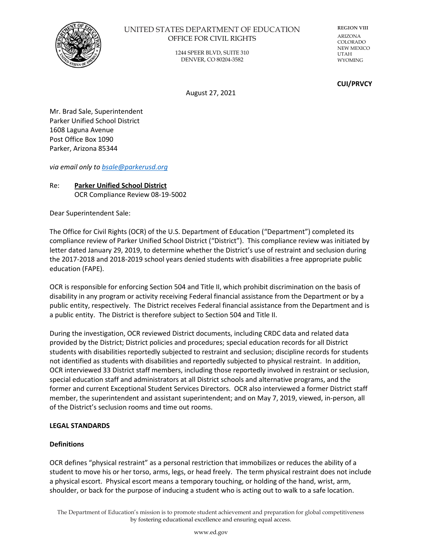

## UNITED STATES DEPARTMENT OF EDUCATION OFFICE FOR CIVIL RIGHTS

1244 SPEER BLVD, SUITE 310 DENVER, CO 80204-3582

**REGION VIII** ARIZONA COLORADO NEW MEXICO UTAH WYOMING

### **CUI/PRVCY**

August 27, 2021

Mr. Brad Sale, Superintendent Parker Unified School District 1608 Laguna Avenue Post Office Box 1090 Parker, Arizona 85344

*via email only to [bsale@parkerusd.org](mailto:bsale@parkerusd.org)*

## Re: **Parker Unified School District** OCR Compliance Review 08-19-5002

Dear Superintendent Sale:

The Office for Civil Rights (OCR) of the U.S. Department of Education ("Department") completed its compliance review of Parker Unified School District ("District"). This compliance review was initiated by letter dated January 29, 2019, to determine whether the District's use of restraint and seclusion during the 2017-2018 and 2018-2019 school years denied students with disabilities a free appropriate public education (FAPE).

OCR is responsible for enforcing Section 504 and Title II, which prohibit discrimination on the basis of disability in any program or activity receiving Federal financial assistance from the Department or by a public entity, respectively. The District receives Federal financial assistance from the Department and is a public entity. The District is therefore subject to Section 504 and Title II.

During the investigation, OCR reviewed District documents, including CRDC data and related data provided by the District; District policies and procedures; special education records for all District students with disabilities reportedly subjected to restraint and seclusion; discipline records for students not identified as students with disabilities and reportedly subjected to physical restraint. In addition, OCR interviewed 33 District staff members, including those reportedly involved in restraint or seclusion, special education staff and administrators at all District schools and alternative programs, and the former and current Exceptional Student Services Directors. OCR also interviewed a former District staff member, the superintendent and assistant superintendent; and on May 7, 2019, viewed, in-person, all of the District's seclusion rooms and time out rooms.

## **LEGAL STANDARDS**

# **Definitions**

OCR defines "physical restraint" as a personal restriction that immobilizes or reduces the ability of a student to move his or her torso, arms, legs, or head freely. The term physical restraint does not include a physical escort. Physical escort means a temporary touching, or holding of the hand, wrist, arm, shoulder, or back for the purpose of inducing a student who is acting out to walk to a safe location.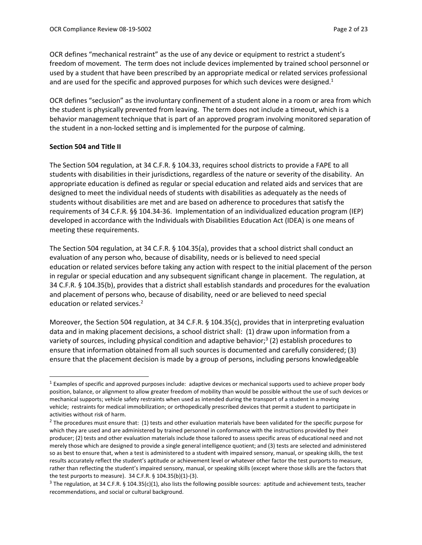OCR defines "mechanical restraint" as the use of any device or equipment to restrict a student's freedom of movement. The term does not include devices implemented by trained school personnel or used by a student that have been prescribed by an appropriate medical or related services professional and are used for the specific and approved purposes for which such devices were designed. $1$ 

OCR defines "seclusion" as the involuntary confinement of a student alone in a room or area from which the student is physically prevented from leaving. The term does not include a timeout, which is a behavior management technique that is part of an approved program involving monitored separation of the student in a non-locked setting and is implemented for the purpose of calming.

### **Section 504 and Title II**

The Section 504 regulation, at 34 C.F.R. § 104.33, requires school districts to provide a FAPE to all students with disabilities in their jurisdictions, regardless of the nature or severity of the disability. An appropriate education is defined as regular or special education and related aids and services that are designed to meet the individual needs of students with disabilities as adequately as the needs of students without disabilities are met and are based on adherence to procedures that satisfy the requirements of 34 C.F.R. §§ 104.34-36. Implementation of an individualized education program (IEP) developed in accordance with the Individuals with Disabilities Education Act (IDEA) is one means of meeting these requirements.

The Section 504 regulation, at 34 C.F.R. § 104.35(a), provides that a school district shall conduct an evaluation of any person who, because of disability, needs or is believed to need special education or related services before taking any action with respect to the initial placement of the person in regular or special education and any subsequent significant change in placement. The regulation, at 34 C.F.R. § 104.35(b), provides that a district shall establish standards and procedures for the evaluation and placement of persons who, because of disability, need or are believed to need special education or related services.<sup>2</sup>

Moreover, the Section 504 regulation, at 34 C.F.R. § 104.35(c), provides that in interpreting evaluation data and in making placement decisions, a school district shall: (1) draw upon information from a variety of sources, including physical condition and adaptive behavior;<sup>3</sup> (2) establish procedures to ensure that information obtained from all such sources is documented and carefully considered; (3) ensure that the placement decision is made by a group of persons, including persons knowledgeable

 $<sup>1</sup>$  Examples of specific and approved purposes include: adaptive devices or mechanical supports used to achieve proper body</sup> position, balance, or alignment to allow greater freedom of mobility than would be possible without the use of such devices or mechanical supports; vehicle safety restraints when used as intended during the transport of a student in a moving vehicle; restraints for medical immobilization; or orthopedically prescribed devices that permit a student to participate in activities without risk of harm.

 $^2$  The procedures must ensure that: (1) tests and other evaluation materials have been validated for the specific purpose for which they are used and are administered by trained personnel in conformance with the instructions provided by their producer; (2) tests and other evaluation materials include those tailored to assess specific areas of educational need and not merely those which are designed to provide a single general intelligence quotient; and (3) tests are selected and administered so as best to ensure that, when a test is administered to a student with impaired sensory, manual, or speaking skills, the test results accurately reflect the student's aptitude or achievement level or whatever other factor the test purports to measure, rather than reflecting the student's impaired sensory, manual, or speaking skills (except where those skills are the factors that the test purports to measure). 34 C.F.R. § 104.35(b)(1)-(3).

 $3$  The regulation, at 34 C.F.R. § 104.35(c)(1), also lists the following possible sources: aptitude and achievement tests, teacher recommendations, and social or cultural background.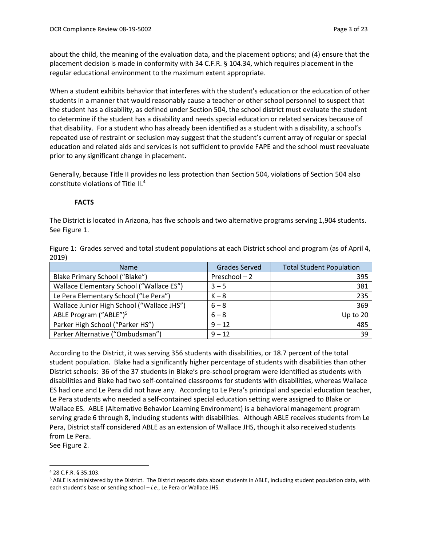about the child, the meaning of the evaluation data, and the placement options; and (4) ensure that the placement decision is made in conformity with 34 C.F.R. § 104.34, which requires placement in the regular educational environment to the maximum extent appropriate.

When a student exhibits behavior that interferes with the student's education or the education of other students in a manner that would reasonably cause a teacher or other school personnel to suspect that the student has a disability, as defined under Section 504, the school district must evaluate the student to determine if the student has a disability and needs special education or related services because of that disability. For a student who has already been identified as a student with a disability, a school's repeated use of restraint or seclusion may suggest that the student's current array of regular or special education and related aids and services is not sufficient to provide FAPE and the school must reevaluate prior to any significant change in placement.

Generally, because Title II provides no less protection than Section 504, violations of Section 504 also constitute violations of Title II.<sup>4</sup>

### **FACTS**

The District is located in Arizona, has five schools and two alternative programs serving 1,904 students. See Figure 1.

|       | Figure 1: Grades served and total student populations at each District school and program (as of April 4, |  |
|-------|-----------------------------------------------------------------------------------------------------------|--|
| 2019) |                                                                                                           |  |

| <b>Name</b>                                | <b>Grades Served</b> | <b>Total Student Population</b> |
|--------------------------------------------|----------------------|---------------------------------|
| Blake Primary School ("Blake")             | Preschool-2          | 395                             |
| Wallace Elementary School ("Wallace ES")   | $3 - 5$              | 381                             |
| Le Pera Elementary School ("Le Pera")      | $K - 8$              | 235                             |
| Wallace Junior High School ("Wallace JHS") | $6 - 8$              | 369                             |
| ABLE Program ("ABLE") <sup>5</sup>         | $6 - 8$              | Up to 20                        |
| Parker High School ("Parker HS")           | $9 - 12$             | 485                             |
| Parker Alternative ("Ombudsman")           | $9 - 12$             | 39                              |

According to the District, it was serving 356 students with disabilities, or 18.7 percent of the total student population. Blake had a significantly higher percentage of students with disabilities than other District schools: 36 of the 37 students in Blake's pre-school program were identified as students with disabilities and Blake had two self-contained classrooms for students with disabilities, whereas Wallace ES had one and Le Pera did not have any. According to Le Pera's principal and special education teacher, Le Pera students who needed a self-contained special education setting were assigned to Blake or Wallace ES. ABLE (Alternative Behavior Learning Environment) is a behavioral management program serving grade 6 through 8, including students with disabilities. Although ABLE receives students from Le Pera, District staff considered ABLE as an extension of Wallace JHS, though it also received students from Le Pera.

See Figure 2.

<sup>4</sup> 28 C.F.R. § 35.103.

<sup>5</sup> ABLE is administered by the District. The District reports data about students in ABLE, including student population data, with each student's base or sending school – *i.e.*, Le Pera or Wallace JHS.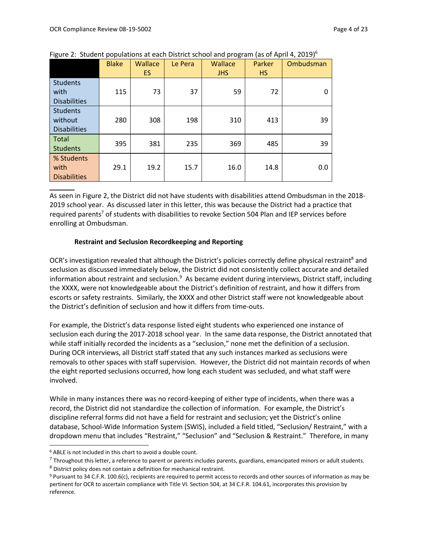|                                                   | <b>Blake</b> | <b>Wallace</b><br>ES. | Le Pera | Wallace<br><b>JHS</b> | Parker<br><b>HS</b> | Ombudsman |
|---------------------------------------------------|--------------|-----------------------|---------|-----------------------|---------------------|-----------|
| <b>Students</b><br>with<br><b>Disabilities</b>    | 115          | 73                    | 37      | 59                    | 72                  | 0         |
| <b>Students</b><br>without<br><b>Disabilities</b> | 280          | 308                   | 198     | 310                   | 413                 | 39        |
| <b>Total</b><br><b>Students</b>                   | 395          | 381                   | 235     | 369                   | 485                 | 39        |
| % Students<br>with<br><b>Disabilities</b>         | 29.1         | 19.2                  | 15.7    | 16.0                  | 14.8                | 0.0       |

Figure 2: Student populations at each District school and program (as of April 4, 2019)<sup>6</sup>

As seen in Figure 2, the District did not have students with disabilities attend Ombudsman in the 2018- 2019 school year. As discussed later in this letter, this was because the District had a practice that required parents<sup>7</sup> of students with disabilities to revoke Section 504 Plan and IEP services before enrolling at Ombudsman.

### **Restraint and Seclusion Recordkeeping and Reporting**

OCR's investigation revealed that although the District's policies correctly define physical restraint<sup>8</sup> and seclusion as discussed immediately below, the District did not consistently collect accurate and detailed information about restraint and seclusion.<sup>9</sup> As became evident during interviews, District staff, including the XXXX, were not knowledgeable about the District's definition of restraint, and how it differs from escorts or safety restraints. Similarly, the XXXX and other District staff were not knowledgeable about the District's definition of seclusion and how it differs from time-outs.

For example, the District's data response listed eight students who experienced one instance of seclusion each during the 2017-2018 school year. In the same data response, the District annotated that while staff initially recorded the incidents as a "seclusion," none met the definition of a seclusion. During OCR interviews, all District staff stated that any such instances marked as seclusions were removals to other spaces with staff supervision. However, the District did not maintain records of when the eight reported seclusions occurred, how long each student was secluded, and what staff were involved.

While in many instances there was no record-keeping of either type of incidents, when there was a record, the District did not standardize the collection of information. For example, the District's discipline referral forms did not have a field for restraint and seclusion; yet the District's online database, School-Wide Information System (SWIS), included a field titled, "Seclusion/ Restraint," with a dropdown menu that includes "Restraint," "Seclusion" and "Seclusion & Restraint." Therefore, in many

<sup>6</sup> ABLE is not included in this chart to avoid a double count.

 $^7$  Throughout this letter, a reference to parent or parents includes parents, guardians, emancipated minors or adult students.

<sup>8</sup> District policy does not contain a definition for mechanical restraint.

<sup>9</sup> Pursuant to 34 C.F.R. 100.6(c), recipients are required to permit access to records and other sources of information as may be pertinent for OCR to ascertain compliance with Title VI. Section 504, at 34 C.F.R. 104.61, incorporates this provision by reference.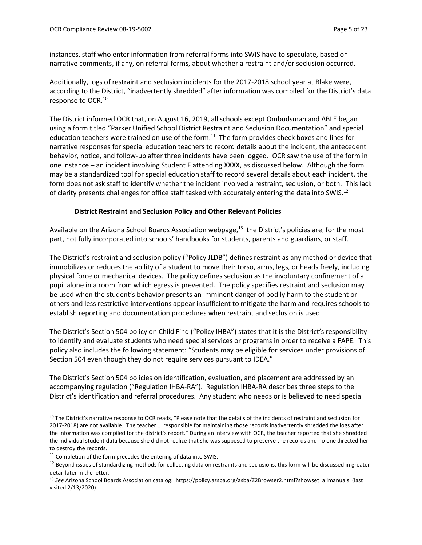instances, staff who enter information from referral forms into SWIS have to speculate, based on narrative comments, if any, on referral forms, about whether a restraint and/or seclusion occurred.

Additionally, logs of restraint and seclusion incidents for the 2017-2018 school year at Blake were, according to the District, "inadvertently shredded" after information was compiled for the District's data response to OCR.<sup>10</sup>

The District informed OCR that, on August 16, 2019, all schools except Ombudsman and ABLE began using a form titled "Parker Unified School District Restraint and Seclusion Documentation" and special education teachers were trained on use of the form.<sup>11</sup> The form provides check boxes and lines for narrative responses for special education teachers to record details about the incident, the antecedent behavior, notice, and follow-up after three incidents have been logged. OCR saw the use of the form in one instance – an incident involving Student F attending XXXX, as discussed below. Although the form may be a standardized tool for special education staff to record several details about each incident, the form does not ask staff to identify whether the incident involved a restraint, seclusion, or both. This lack of clarity presents challenges for office staff tasked with accurately entering the data into SWIS.<sup>12</sup>

### **District Restraint and Seclusion Policy and Other Relevant Policies**

Available on the Arizona School Boards Association webpage,<sup>13</sup> the District's policies are, for the most part, not fully incorporated into schools' handbooks for students, parents and guardians, or staff.

The District's restraint and seclusion policy ("Policy JLDB") defines restraint as any method or device that immobilizes or reduces the ability of a student to move their torso, arms, legs, or heads freely, including physical force or mechanical devices. The policy defines seclusion as the involuntary confinement of a pupil alone in a room from which egress is prevented. The policy specifies restraint and seclusion may be used when the student's behavior presents an imminent danger of bodily harm to the student or others and less restrictive interventions appear insufficient to mitigate the harm and requires schools to establish reporting and documentation procedures when restraint and seclusion is used.

The District's Section 504 policy on Child Find ("Policy IHBA") states that it is the District's responsibility to identify and evaluate students who need special services or programs in order to receive a FAPE. This policy also includes the following statement: "Students may be eligible for services under provisions of Section 504 even though they do not require services pursuant to IDEA."

The District's Section 504 policies on identification, evaluation, and placement are addressed by an accompanying regulation ("Regulation IHBA-RA"). Regulation IHBA-RA describes three steps to the District's identification and referral procedures. Any student who needs or is believed to need special

<sup>&</sup>lt;sup>10</sup> The District's narrative response to OCR reads, "Please note that the details of the incidents of restraint and seclusion for 2017-2018) are not available. The teacher … responsible for maintaining those records inadvertently shredded the logs after the information was compiled for the district's report." During an interview with OCR, the teacher reported that she shredded the individual student data because she did not realize that she was supposed to preserve the records and no one directed her to destroy the records.

 $11$  Completion of the form precedes the entering of data into SWIS.

<sup>&</sup>lt;sup>12</sup> Beyond issues of standardizing methods for collecting data on restraints and seclusions, this form will be discussed in greater detail later in the letter.

<sup>13</sup> *See* Arizona School Boards Association catalog: https://policy.azsba.org/asba/Z2Browser2.html?showset=allmanuals (last visited 2/13/2020).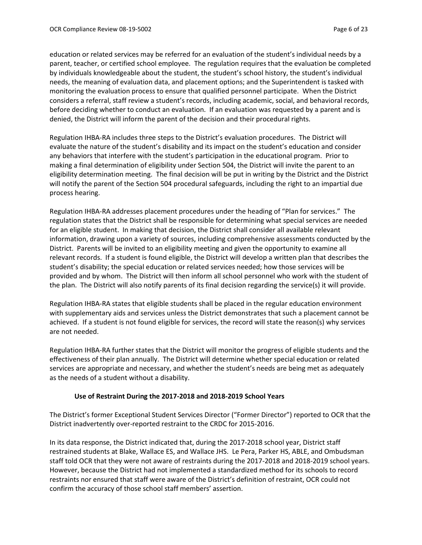education or related services may be referred for an evaluation of the student's individual needs by a parent, teacher, or certified school employee. The regulation requires that the evaluation be completed by individuals knowledgeable about the student, the student's school history, the student's individual needs, the meaning of evaluation data, and placement options; and the Superintendent is tasked with monitoring the evaluation process to ensure that qualified personnel participate. When the District considers a referral, staff review a student's records, including academic, social, and behavioral records, before deciding whether to conduct an evaluation. If an evaluation was requested by a parent and is denied, the District will inform the parent of the decision and their procedural rights.

Regulation IHBA-RA includes three steps to the District's evaluation procedures. The District will evaluate the nature of the student's disability and its impact on the student's education and consider any behaviors that interfere with the student's participation in the educational program. Prior to making a final determination of eligibility under Section 504, the District will invite the parent to an eligibility determination meeting. The final decision will be put in writing by the District and the District will notify the parent of the Section 504 procedural safeguards, including the right to an impartial due process hearing.

Regulation IHBA-RA addresses placement procedures under the heading of "Plan for services." The regulation states that the District shall be responsible for determining what special services are needed for an eligible student. In making that decision, the District shall consider all available relevant information, drawing upon a variety of sources, including comprehensive assessments conducted by the District. Parents will be invited to an eligibility meeting and given the opportunity to examine all relevant records. If a student is found eligible, the District will develop a written plan that describes the student's disability; the special education or related services needed; how those services will be provided and by whom. The District will then inform all school personnel who work with the student of the plan. The District will also notify parents of its final decision regarding the service(s) it will provide.

Regulation IHBA-RA states that eligible students shall be placed in the regular education environment with supplementary aids and services unless the District demonstrates that such a placement cannot be achieved. If a student is not found eligible for services, the record will state the reason(s) why services are not needed.

Regulation IHBA-RA further states that the District will monitor the progress of eligible students and the effectiveness of their plan annually. The District will determine whether special education or related services are appropriate and necessary, and whether the student's needs are being met as adequately as the needs of a student without a disability.

### **Use of Restraint During the 2017-2018 and 2018-2019 School Years**

The District's former Exceptional Student Services Director ("Former Director") reported to OCR that the District inadvertently over-reported restraint to the CRDC for 2015-2016.

In its data response, the District indicated that, during the 2017-2018 school year, District staff restrained students at Blake, Wallace ES, and Wallace JHS. Le Pera, Parker HS, ABLE, and Ombudsman staff told OCR that they were not aware of restraints during the 2017-2018 and 2018-2019 school years. However, because the District had not implemented a standardized method for its schools to record restraints nor ensured that staff were aware of the District's definition of restraint, OCR could not confirm the accuracy of those school staff members' assertion.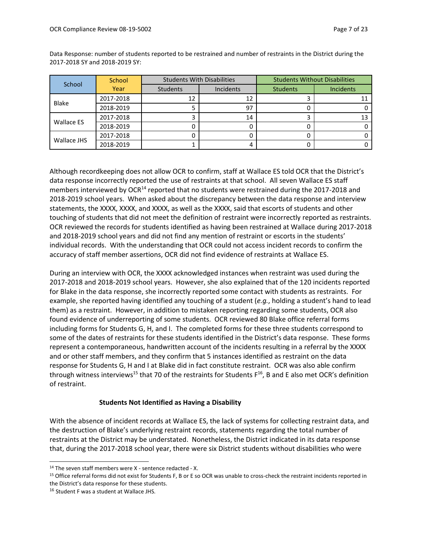| School            | School    | <b>Students With Disabilities</b> |           | <b>Students Without Disabilities</b> |                  |
|-------------------|-----------|-----------------------------------|-----------|--------------------------------------|------------------|
|                   | Year      | Students                          | Incidents | <b>Students</b>                      | <b>Incidents</b> |
| <b>Blake</b>      | 2017-2018 | 12                                | 12        |                                      |                  |
|                   | 2018-2019 |                                   | 97        |                                      |                  |
|                   | 2017-2018 |                                   | 14        |                                      |                  |
| <b>Wallace ES</b> | 2018-2019 |                                   |           |                                      |                  |
| Wallace JHS       | 2017-2018 |                                   |           |                                      |                  |
|                   | 2018-2019 |                                   |           |                                      |                  |

Data Response: number of students reported to be restrained and number of restraints in the District during the 2017-2018 SY and 2018-2019 SY:

Although recordkeeping does not allow OCR to confirm, staff at Wallace ES told OCR that the District's data response incorrectly reported the use of restraints at that school. All seven Wallace ES staff members interviewed by OCR<sup>14</sup> reported that no students were restrained during the 2017-2018 and 2018-2019 school years. When asked about the discrepancy between the data response and interview statements, the XXXX, XXXX, and XXXX, as well as the XXXX, said that escorts of students and other touching of students that did not meet the definition of restraint were incorrectly reported as restraints. OCR reviewed the records for students identified as having been restrained at Wallace during 2017-2018 and 2018-2019 school years and did not find any mention of restraint or escorts in the students' individual records. With the understanding that OCR could not access incident records to confirm the accuracy of staff member assertions, OCR did not find evidence of restraints at Wallace ES.

During an interview with OCR, the XXXX acknowledged instances when restraint was used during the 2017-2018 and 2018-2019 school years. However, she also explained that of the 120 incidents reported for Blake in the data response, she incorrectly reported some contact with students as restraints. For example, she reported having identified any touching of a student (*e.g.*, holding a student's hand to lead them) as a restraint. However, in addition to mistaken reporting regarding some students, OCR also found evidence of underreporting of some students. OCR reviewed 80 Blake office referral forms including forms for Students G, H, and I. The completed forms for these three students correspond to some of the dates of restraints for these students identified in the District's data response. These forms represent a contemporaneous, handwritten account of the incidents resulting in a referral by the XXXX and or other staff members, and they confirm that 5 instances identified as restraint on the data response for Students G, H and I at Blake did in fact constitute restraint. OCR was also able confirm through witness interviews<sup>15</sup> that 70 of the restraints for Students  $F^{16}$ , B and E also met OCR's definition of restraint.

## **Students Not Identified as Having a Disability**

With the absence of incident records at Wallace ES, the lack of systems for collecting restraint data, and the destruction of Blake's underlying restraint records, statements regarding the total number of restraints at the District may be understated. Nonetheless, the District indicated in its data response that, during the 2017-2018 school year, there were six District students without disabilities who were

<sup>&</sup>lt;sup>14</sup> The seven staff members were X - sentence redacted - X.

<sup>15</sup> Office referral forms did not exist for Students F, B or E so OCR was unable to cross-check the restraint incidents reported in the District's data response for these students.

<sup>16</sup> Student F was a student at Wallace JHS.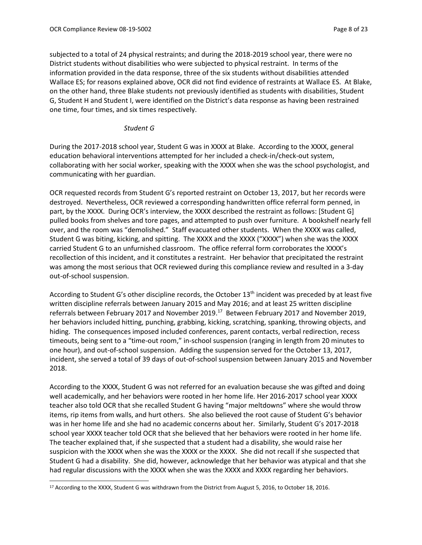subjected to a total of 24 physical restraints; and during the 2018-2019 school year, there were no District students without disabilities who were subjected to physical restraint. In terms of the information provided in the data response, three of the six students without disabilities attended Wallace ES; for reasons explained above, OCR did not find evidence of restraints at Wallace ES. At Blake, on the other hand, three Blake students not previously identified as students with disabilities, Student G, Student H and Student I, were identified on the District's data response as having been restrained one time, four times, and six times respectively.

#### *Student G*

During the 2017-2018 school year, Student G was in XXXX at Blake. According to the XXXX, general education behavioral interventions attempted for her included a check-in/check-out system, collaborating with her social worker, speaking with the XXXX when she was the school psychologist, and communicating with her guardian.

OCR requested records from Student G's reported restraint on October 13, 2017, but her records were destroyed. Nevertheless, OCR reviewed a corresponding handwritten office referral form penned, in part, by the XXXX. During OCR's interview, the XXXX described the restraint as follows: [Student G] pulled books from shelves and tore pages, and attempted to push over furniture. A bookshelf nearly fell over, and the room was "demolished." Staff evacuated other students. When the XXXX was called, Student G was biting, kicking, and spitting. The XXXX and the XXXX ("XXXX") when she was the XXXX carried Student G to an unfurnished classroom. The office referral form corroborates the XXXX's recollection of this incident, and it constitutes a restraint. Her behavior that precipitated the restraint was among the most serious that OCR reviewed during this compliance review and resulted in a 3-day out-of-school suspension.

According to Student G's other discipline records, the October 13<sup>th</sup> incident was preceded by at least five written discipline referrals between January 2015 and May 2016; and at least 25 written discipline referrals between February 2017 and November 2019.<sup>17</sup> Between February 2017 and November 2019, her behaviors included hitting, punching, grabbing, kicking, scratching, spanking, throwing objects, and hiding. The consequences imposed included conferences, parent contacts, verbal redirection, recess timeouts, being sent to a "time-out room," in-school suspension (ranging in length from 20 minutes to one hour), and out-of-school suspension. Adding the suspension served for the October 13, 2017, incident, she served a total of 39 days of out-of-school suspension between January 2015 and November 2018.

According to the XXXX, Student G was not referred for an evaluation because she was gifted and doing well academically, and her behaviors were rooted in her home life. Her 2016-2017 school year XXXX teacher also told OCR that she recalled Student G having "major meltdowns" where she would throw items, rip items from walls, and hurt others. She also believed the root cause of Student G's behavior was in her home life and she had no academic concerns about her. Similarly, Student G's 2017-2018 school year XXXX teacher told OCR that she believed that her behaviors were rooted in her home life. The teacher explained that, if she suspected that a student had a disability, she would raise her suspicion with the XXXX when she was the XXXX or the XXXX. She did not recall if she suspected that Student G had a disability. She did, however, acknowledge that her behavior was atypical and that she had regular discussions with the XXXX when she was the XXXX and XXXX regarding her behaviors.

<sup>&</sup>lt;sup>17</sup> According to the XXXX, Student G was withdrawn from the District from August 5, 2016, to October 18, 2016.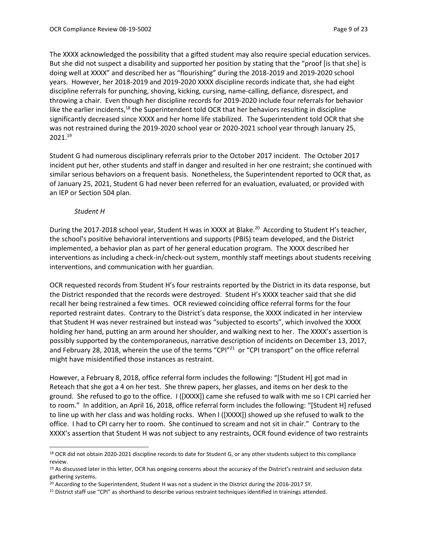The XXXX acknowledged the possibility that a gifted student may also require special education services. But she did not suspect a disability and supported her position by stating that the "proof [is that she] is doing well at XXXX" and described her as "flourishing" during the 2018-2019 and 2019-2020 school years. However, her 2018-2019 and 2019-2020 XXXX discipline records indicate that, she had eight discipline referrals for punching, shoving, kicking, cursing, name-calling, defiance, disrespect, and throwing a chair. Even though her discipline records for 2019-2020 include four referrals for behavior like the earlier incidents,<sup>18</sup> the Superintendent told OCR that her behaviors resulting in discipline significantly decreased since XXXX and her home life stabilized. The Superintendent told OCR that she was not restrained during the 2019-2020 school year or 2020-2021 school year through January 25, 2021. 19

Student G had numerous disciplinary referrals prior to the October 2017 incident. The October 2017 incident put her, other students and staff in danger and resulted in her one restraint; she continued with similar serious behaviors on a frequent basis. Nonetheless, the Superintendent reported to OCR that, as of January 25, 2021, Student G had never been referred for an evaluation, evaluated, or provided with an IEP or Section 504 plan.

### *Student H*

During the 2017-2018 school year, Student H was in XXXX at Blake.<sup>20</sup> According to Student H's teacher, the school's positive behavioral interventions and supports (PBIS) team developed, and the District implemented, a behavior plan as part of her general education program. The XXXX described her interventions as including a check-in/check-out system, monthly staff meetings about students receiving interventions, and communication with her guardian.

OCR requested records from Student H's four restraints reported by the District in its data response, but the District responded that the records were destroyed. Student H's XXXX teacher said that she did recall her being restrained a few times. OCR reviewed coinciding office referral forms for the four reported restraint dates. Contrary to the District's data response, the XXXX indicated in her interview that Student H was never restrained but instead was "subjected to escorts", which involved the XXXX holding her hand, putting an arm around her shoulder, and walking next to her. The XXXX's assertion is possibly supported by the contemporaneous, narrative description of incidents on December 13, 2017, and February 28, 2018, wherein the use of the terms "CPI"<sup>21</sup> or "CPI transport" on the office referral might have misidentified those instances as restraint.

However, a February 8, 2018, office referral form includes the following: "[Student H] got mad in Reteach that she got a 4 on her test. She threw papers, her glasses, and items on her desk to the ground. She refused to go to the office. I ([XXXX]) came she refused to walk with me so I CPI carried her to room." In addition, an April 16, 2018, office referral form includes the following: "[Student H] refused to line up with her class and was holding rocks. When I ([XXXX]) showed up she refused to walk to the office. I had to CPI carry her to room. She continued to scream and not sit in chair." Contrary to the XXXX's assertion that Student H was not subject to any restraints, OCR found evidence of two restraints

<sup>18</sup> OCR did not obtain 2020-2021 discipline records to date for Student G, or any other students subject to this compliance review.

<sup>&</sup>lt;sup>19</sup> As discussed later in this letter, OCR has ongoing concerns about the accuracy of the District's restraint and seclusion data gathering systems.

<sup>&</sup>lt;sup>20</sup> According to the Superintendent, Student H was not a student in the District during the 2016-2017 SY.

<sup>&</sup>lt;sup>21</sup> District staff use "CPI" as shorthand to describe various restraint techniques identified in trainings attended.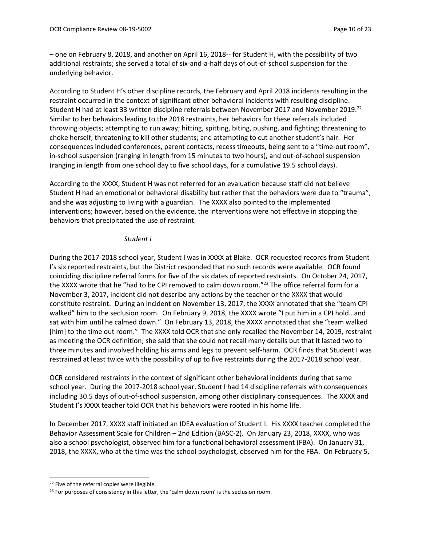– one on February 8, 2018, and another on April 16, 2018-- for Student H, with the possibility of two additional restraints; she served a total of six-and-a-half days of out-of-school suspension for the underlying behavior.

According to Student H's other discipline records, the February and April 2018 incidents resulting in the restraint occurred in the context of significant other behavioral incidents with resulting discipline. Student H had at least 33 written discipline referrals between November 2017 and November 2019.<sup>22</sup> Similar to her behaviors leading to the 2018 restraints, her behaviors for these referrals included throwing objects; attempting to run away; hitting, spitting, biting, pushing, and fighting; threatening to choke herself; threatening to kill other students; and attempting to cut another student's hair. Her consequences included conferences, parent contacts, recess timeouts, being sent to a "time-out room", in-school suspension (ranging in length from 15 minutes to two hours), and out-of-school suspension (ranging in length from one school day to five school days, for a cumulative 19.5 school days).

According to the XXXX, Student H was not referred for an evaluation because staff did not believe Student H had an emotional or behavioral disability but rather that the behaviors were due to "trauma", and she was adjusting to living with a guardian. The XXXX also pointed to the implemented interventions; however, based on the evidence, the interventions were not effective in stopping the behaviors that precipitated the use of restraint.

#### *Student I*

During the 2017-2018 school year, Student I was in XXXX at Blake. OCR requested records from Student I's six reported restraints, but the District responded that no such records were available. OCR found coinciding discipline referral forms for five of the six dates of reported restraints. On October 24, 2017, the XXXX wrote that he "had to be CPI removed to calm down room."<sup>23</sup> The office referral form for a November 3, 2017, incident did not describe any actions by the teacher or the XXXX that would constitute restraint. During an incident on November 13, 2017, the XXXX annotated that she "team CPI walked" him to the seclusion room. On February 9, 2018, the XXXX wrote "I put him in a CPI hold...and sat with him until he calmed down." On February 13, 2018, the XXXX annotated that she "team walked [him] to the time out room." The XXXX told OCR that she only recalled the November 14, 2019, restraint as meeting the OCR definition; she said that she could not recall many details but that it lasted two to three minutes and involved holding his arms and legs to prevent self-harm. OCR finds that Student I was restrained at least twice with the possibility of up to five restraints during the 2017-2018 school year.

OCR considered restraints in the context of significant other behavioral incidents during that same school year. During the 2017-2018 school year, Student I had 14 discipline referrals with consequences including 30.5 days of out-of-school suspension, among other disciplinary consequences. The XXXX and Student I's XXXX teacher told OCR that his behaviors were rooted in his home life.

In December 2017, XXXX staff initiated an IDEA evaluation of Student I. His XXXX teacher completed the Behavior Assessment Scale for Children – 2nd Edition (BASC-2). On January 23, 2018, XXXX, who was also a school psychologist, observed him for a functional behavioral assessment (FBA). On January 31, 2018, the XXXX, who at the time was the school psychologist, observed him for the FBA. On February 5,

<sup>&</sup>lt;sup>22</sup> Five of the referral copies were illegible.

<sup>&</sup>lt;sup>23</sup> For purposes of consistency in this letter, the 'calm down room' is the seclusion room.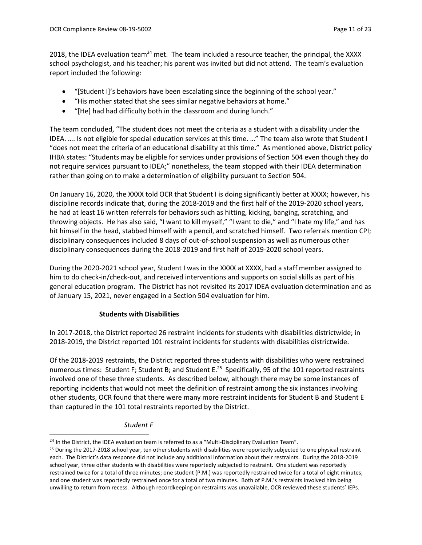2018, the IDEA evaluation team<sup>24</sup> met. The team included a resource teacher, the principal, the XXXX school psychologist, and his teacher; his parent was invited but did not attend. The team's evaluation report included the following:

- "[Student I]'s behaviors have been escalating since the beginning of the school year."
- "His mother stated that she sees similar negative behaviors at home."
- "[He] had had difficulty both in the classroom and during lunch."

The team concluded, "The student does not meet the criteria as a student with a disability under the IDEA. …. Is not eligible for special education services at this time. …" The team also wrote that Student I "does not meet the criteria of an educational disability at this time." As mentioned above, District policy IHBA states: "Students may be eligible for services under provisions of Section 504 even though they do not require services pursuant to IDEA;" nonetheless, the team stopped with their IDEA determination rather than going on to make a determination of eligibility pursuant to Section 504.

On January 16, 2020, the XXXX told OCR that Student I is doing significantly better at XXXX; however, his discipline records indicate that, during the 2018-2019 and the first half of the 2019-2020 school years, he had at least 16 written referrals for behaviors such as hitting, kicking, banging, scratching, and throwing objects. He has also said, "I want to kill myself," "I want to die," and "I hate my life," and has hit himself in the head, stabbed himself with a pencil, and scratched himself. Two referrals mention CPI; disciplinary consequences included 8 days of out-of-school suspension as well as numerous other disciplinary consequences during the 2018-2019 and first half of 2019-2020 school years.

During the 2020-2021 school year, Student I was in the XXXX at XXXX, had a staff member assigned to him to do check-in/check-out, and received interventions and supports on social skills as part of his general education program. The District has not revisited its 2017 IDEA evaluation determination and as of January 15, 2021, never engaged in a Section 504 evaluation for him.

# **Students with Disabilities**

In 2017-2018, the District reported 26 restraint incidents for students with disabilities districtwide; in 2018-2019, the District reported 101 restraint incidents for students with disabilities districtwide.

Of the 2018-2019 restraints, the District reported three students with disabilities who were restrained numerous times: Student F; Student B; and Student E.<sup>25</sup> Specifically, 95 of the 101 reported restraints involved one of these three students. As described below, although there may be some instances of reporting incidents that would not meet the definition of restraint among the six instances involving other students, OCR found that there were many more restraint incidents for Student B and Student E than captured in the 101 total restraints reported by the District.

## *Student F*

<sup>&</sup>lt;sup>24</sup> In the District, the IDEA evaluation team is referred to as a "Multi-Disciplinary Evaluation Team".

<sup>&</sup>lt;sup>25</sup> During the 2017-2018 school year, ten other students with disabilities were reportedly subjected to one physical restraint each. The District's data response did not include any additional information about their restraints. During the 2018-2019 school year, three other students with disabilities were reportedly subjected to restraint. One student was reportedly restrained twice for a total of three minutes; one student (P.M.) was reportedly restrained twice for a total of eight minutes; and one student was reportedly restrained once for a total of two minutes. Both of P.M.'s restraints involved him being unwilling to return from recess. Although recordkeeping on restraints was unavailable, OCR reviewed these students' IEPs.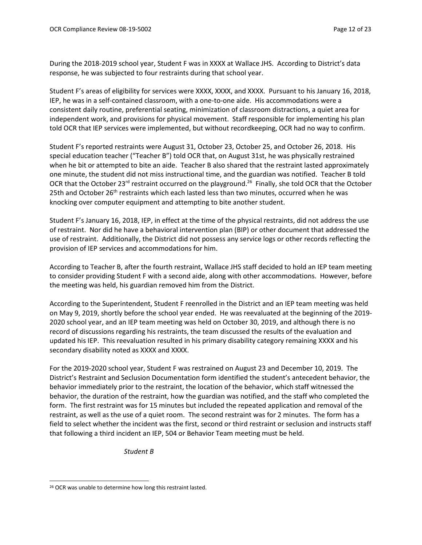During the 2018-2019 school year, Student F was in XXXX at Wallace JHS. According to District's data response, he was subjected to four restraints during that school year.

Student F's areas of eligibility for services were XXXX, XXXX, and XXXX. Pursuant to his January 16, 2018, IEP, he was in a self-contained classroom, with a one-to-one aide. His accommodations were a consistent daily routine, preferential seating, minimization of classroom distractions, a quiet area for independent work, and provisions for physical movement. Staff responsible for implementing his plan told OCR that IEP services were implemented, but without recordkeeping, OCR had no way to confirm.

Student F's reported restraints were August 31, October 23, October 25, and October 26, 2018. His special education teacher ("Teacher B") told OCR that, on August 31st, he was physically restrained when he bit or attempted to bite an aide. Teacher B also shared that the restraint lasted approximately one minute, the student did not miss instructional time, and the guardian was notified. Teacher B told OCR that the October 23<sup>rd</sup> restraint occurred on the playground.<sup>26</sup> Finally, she told OCR that the October 25th and October 26<sup>th</sup> restraints which each lasted less than two minutes, occurred when he was knocking over computer equipment and attempting to bite another student.

Student F's January 16, 2018, IEP, in effect at the time of the physical restraints, did not address the use of restraint. Nor did he have a behavioral intervention plan (BIP) or other document that addressed the use of restraint. Additionally, the District did not possess any service logs or other records reflecting the provision of IEP services and accommodations for him.

According to Teacher B, after the fourth restraint, Wallace JHS staff decided to hold an IEP team meeting to consider providing Student F with a second aide, along with other accommodations. However, before the meeting was held, his guardian removed him from the District.

According to the Superintendent, Student F reenrolled in the District and an IEP team meeting was held on May 9, 2019, shortly before the school year ended. He was reevaluated at the beginning of the 2019- 2020 school year, and an IEP team meeting was held on October 30, 2019, and although there is no record of discussions regarding his restraints, the team discussed the results of the evaluation and updated his IEP. This reevaluation resulted in his primary disability category remaining XXXX and his secondary disability noted as XXXX and XXXX.

For the 2019-2020 school year, Student F was restrained on August 23 and December 10, 2019. The District's Restraint and Seclusion Documentation form identified the student's antecedent behavior, the behavior immediately prior to the restraint, the location of the behavior, which staff witnessed the behavior, the duration of the restraint, how the guardian was notified, and the staff who completed the form. The first restraint was for 15 minutes but included the repeated application and removal of the restraint, as well as the use of a quiet room. The second restraint was for 2 minutes. The form has a field to select whether the incident was the first, second or third restraint or seclusion and instructs staff that following a third incident an IEP, 504 or Behavior Team meeting must be held.

*Student B*

<sup>&</sup>lt;sup>26</sup> OCR was unable to determine how long this restraint lasted.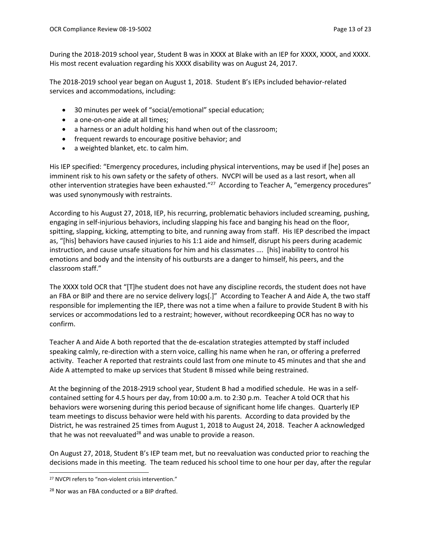During the 2018-2019 school year, Student B was in XXXX at Blake with an IEP for XXXX, XXXX, and XXXX. His most recent evaluation regarding his XXXX disability was on August 24, 2017.

The 2018-2019 school year began on August 1, 2018. Student B's IEPs included behavior-related services and accommodations, including:

- 30 minutes per week of "social/emotional" special education;
- a one-on-one aide at all times:
- a harness or an adult holding his hand when out of the classroom;
- frequent rewards to encourage positive behavior; and
- a weighted blanket, etc. to calm him.

His IEP specified: "Emergency procedures, including physical interventions, may be used if [he] poses an imminent risk to his own safety or the safety of others. NVCPI will be used as a last resort, when all other intervention strategies have been exhausted."<sup>27</sup> According to Teacher A, "emergency procedures" was used synonymously with restraints.

According to his August 27, 2018, IEP, his recurring, problematic behaviors included screaming, pushing, engaging in self-injurious behaviors, including slapping his face and banging his head on the floor, spitting, slapping, kicking, attempting to bite, and running away from staff. His IEP described the impact as, "[his] behaviors have caused injuries to his 1:1 aide and himself, disrupt his peers during academic instruction, and cause unsafe situations for him and his classmates …. [his] inability to control his emotions and body and the intensity of his outbursts are a danger to himself, his peers, and the classroom staff."

The XXXX told OCR that "[T]he student does not have any discipline records, the student does not have an FBA or BIP and there are no service delivery logs[.]" According to Teacher A and Aide A, the two staff responsible for implementing the IEP, there was not a time when a failure to provide Student B with his services or accommodations led to a restraint; however, without recordkeeping OCR has no way to confirm.

Teacher A and Aide A both reported that the de-escalation strategies attempted by staff included speaking calmly, re-direction with a stern voice, calling his name when he ran, or offering a preferred activity. Teacher A reported that restraints could last from one minute to 45 minutes and that she and Aide A attempted to make up services that Student B missed while being restrained.

At the beginning of the 2018-2919 school year, Student B had a modified schedule. He was in a selfcontained setting for 4.5 hours per day, from 10:00 a.m. to 2:30 p.m. Teacher A told OCR that his behaviors were worsening during this period because of significant home life changes. Quarterly IEP team meetings to discuss behavior were held with his parents. According to data provided by the District, he was restrained 25 times from August 1, 2018 to August 24, 2018. Teacher A acknowledged that he was not reevaluated<sup>28</sup> and was unable to provide a reason.

On August 27, 2018, Student B's IEP team met, but no reevaluation was conducted prior to reaching the decisions made in this meeting. The team reduced his school time to one hour per day, after the regular

<sup>&</sup>lt;sup>27</sup> NVCPI refers to "non-violent crisis intervention."

<sup>&</sup>lt;sup>28</sup> Nor was an FBA conducted or a BIP drafted.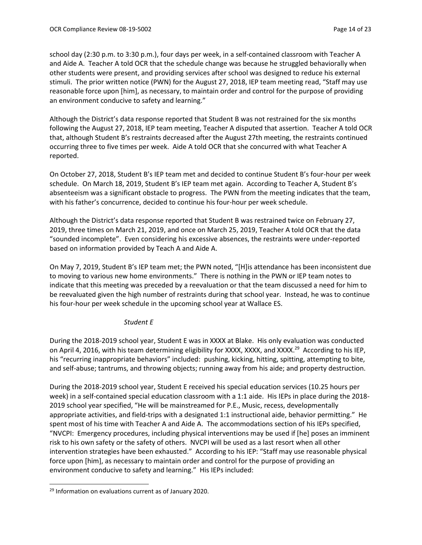school day (2:30 p.m. to 3:30 p.m.), four days per week, in a self-contained classroom with Teacher A and Aide A. Teacher A told OCR that the schedule change was because he struggled behaviorally when other students were present, and providing services after school was designed to reduce his external stimuli. The prior written notice (PWN) for the August 27, 2018, IEP team meeting read, "Staff may use reasonable force upon [him], as necessary, to maintain order and control for the purpose of providing an environment conducive to safety and learning."

Although the District's data response reported that Student B was not restrained for the six months following the August 27, 2018, IEP team meeting, Teacher A disputed that assertion. Teacher A told OCR that, although Student B's restraints decreased after the August 27th meeting, the restraints continued occurring three to five times per week. Aide A told OCR that she concurred with what Teacher A reported.

On October 27, 2018, Student B's IEP team met and decided to continue Student B's four-hour per week schedule. On March 18, 2019, Student B's IEP team met again. According to Teacher A, Student B's absenteeism was a significant obstacle to progress. The PWN from the meeting indicates that the team, with his father's concurrence, decided to continue his four-hour per week schedule.

Although the District's data response reported that Student B was restrained twice on February 27, 2019, three times on March 21, 2019, and once on March 25, 2019, Teacher A told OCR that the data "sounded incomplete". Even considering his excessive absences, the restraints were under-reported based on information provided by Teach A and Aide A.

On May 7, 2019, Student B's IEP team met; the PWN noted, "[H]is attendance has been inconsistent due to moving to various new home environments." There is nothing in the PWN or IEP team notes to indicate that this meeting was preceded by a reevaluation or that the team discussed a need for him to be reevaluated given the high number of restraints during that school year. Instead, he was to continue his four-hour per week schedule in the upcoming school year at Wallace ES.

## *Student E*

During the 2018-2019 school year, Student E was in XXXX at Blake. His only evaluation was conducted on April 4, 2016, with his team determining eligibility for XXXX, XXXX, and XXXX.<sup>29</sup> According to his IEP, his "recurring inappropriate behaviors" included: pushing, kicking, hitting, spitting, attempting to bite, and self-abuse; tantrums, and throwing objects; running away from his aide; and property destruction.

During the 2018-2019 school year, Student E received his special education services (10.25 hours per week) in a self-contained special education classroom with a 1:1 aide. His IEPs in place during the 2018- 2019 school year specified, "He will be mainstreamed for P.E., Music, recess, developmentally appropriate activities, and field-trips with a designated 1:1 instructional aide, behavior permitting." He spent most of his time with Teacher A and Aide A. The accommodations section of his IEPs specified, "NVCPI: Emergency procedures, including physical interventions may be used if [he] poses an imminent risk to his own safety or the safety of others. NVCPI will be used as a last resort when all other intervention strategies have been exhausted." According to his IEP: "Staff may use reasonable physical force upon [him], as necessary to maintain order and control for the purpose of providing an environment conducive to safety and learning." His IEPs included:

<sup>&</sup>lt;sup>29</sup> Information on evaluations current as of January 2020.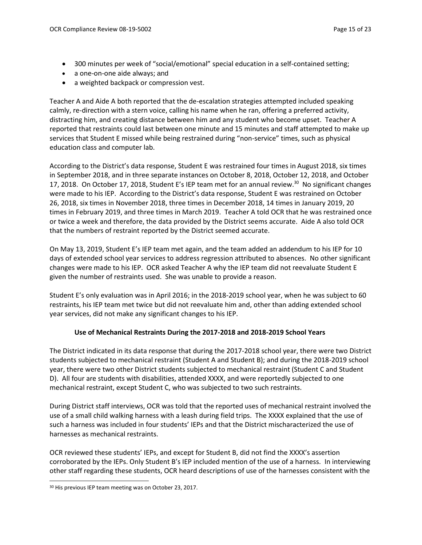- 300 minutes per week of "social/emotional" special education in a self-contained setting;
- a one-on-one aide always; and
- a weighted backpack or compression vest.

Teacher A and Aide A both reported that the de-escalation strategies attempted included speaking calmly, re-direction with a stern voice, calling his name when he ran, offering a preferred activity, distracting him, and creating distance between him and any student who become upset. Teacher A reported that restraints could last between one minute and 15 minutes and staff attempted to make up services that Student E missed while being restrained during "non-service" times, such as physical education class and computer lab.

According to the District's data response, Student E was restrained four times in August 2018, six times in September 2018, and in three separate instances on October 8, 2018, October 12, 2018, and October 17, 2018. On October 17, 2018, Student E's IEP team met for an annual review.<sup>30</sup> No significant changes were made to his IEP. According to the District's data response, Student E was restrained on October 26, 2018, six times in November 2018, three times in December 2018, 14 times in January 2019, 20 times in February 2019, and three times in March 2019. Teacher A told OCR that he was restrained once or twice a week and therefore, the data provided by the District seems accurate. Aide A also told OCR that the numbers of restraint reported by the District seemed accurate.

On May 13, 2019, Student E's IEP team met again, and the team added an addendum to his IEP for 10 days of extended school year services to address regression attributed to absences. No other significant changes were made to his IEP. OCR asked Teacher A why the IEP team did not reevaluate Student E given the number of restraints used. She was unable to provide a reason.

Student E's only evaluation was in April 2016; in the 2018-2019 school year, when he was subject to 60 restraints, his IEP team met twice but did not reevaluate him and, other than adding extended school year services, did not make any significant changes to his IEP.

### **Use of Mechanical Restraints During the 2017-2018 and 2018-2019 School Years**

The District indicated in its data response that during the 2017-2018 school year, there were two District students subjected to mechanical restraint (Student A and Student B); and during the 2018-2019 school year, there were two other District students subjected to mechanical restraint (Student C and Student D). All four are students with disabilities, attended XXXX, and were reportedly subjected to one mechanical restraint, except Student C, who was subjected to two such restraints.

During District staff interviews, OCR was told that the reported uses of mechanical restraint involved the use of a small child walking harness with a leash during field trips. The XXXX explained that the use of such a harness was included in four students' IEPs and that the District mischaracterized the use of harnesses as mechanical restraints.

OCR reviewed these students' IEPs, and except for Student B, did not find the XXXX's assertion corroborated by the IEPs. Only Student B's IEP included mention of the use of a harness. In interviewing other staff regarding these students, OCR heard descriptions of use of the harnesses consistent with the

<sup>30</sup> His previous IEP team meeting was on October 23, 2017.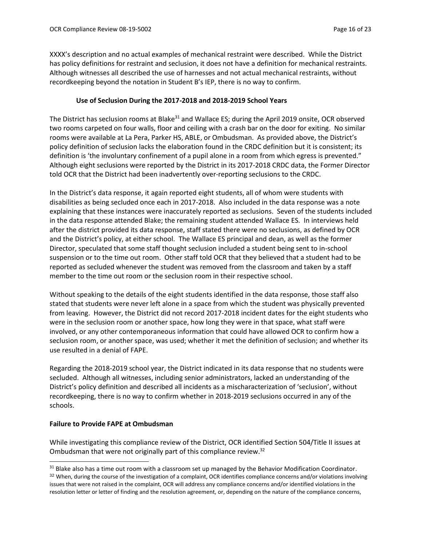XXXX's description and no actual examples of mechanical restraint were described. While the District has policy definitions for restraint and seclusion, it does not have a definition for mechanical restraints. Although witnesses all described the use of harnesses and not actual mechanical restraints, without recordkeeping beyond the notation in Student B's IEP, there is no way to confirm.

### **Use of Seclusion During the 2017-2018 and 2018-2019 School Years**

The District has seclusion rooms at Blake<sup>31</sup> and Wallace ES; during the April 2019 onsite, OCR observed two rooms carpeted on four walls, floor and ceiling with a crash bar on the door for exiting. No similar rooms were available at La Pera, Parker HS, ABLE, or Ombudsman. As provided above, the District's policy definition of seclusion lacks the elaboration found in the CRDC definition but it is consistent; its definition is 'the involuntary confinement of a pupil alone in a room from which egress is prevented." Although eight seclusions were reported by the District in its 2017-2018 CRDC data, the Former Director told OCR that the District had been inadvertently over-reporting seclusions to the CRDC.

In the District's data response, it again reported eight students, all of whom were students with disabilities as being secluded once each in 2017-2018. Also included in the data response was a note explaining that these instances were inaccurately reported as seclusions. Seven of the students included in the data response attended Blake; the remaining student attended Wallace ES. In interviews held after the district provided its data response, staff stated there were no seclusions, as defined by OCR and the District's policy, at either school. The Wallace ES principal and dean, as well as the former Director, speculated that some staff thought seclusion included a student being sent to in-school suspension or to the time out room. Other staff told OCR that they believed that a student had to be reported as secluded whenever the student was removed from the classroom and taken by a staff member to the time out room or the seclusion room in their respective school.

Without speaking to the details of the eight students identified in the data response, those staff also stated that students were never left alone in a space from which the student was physically prevented from leaving. However, the District did not record 2017-2018 incident dates for the eight students who were in the seclusion room or another space, how long they were in that space, what staff were involved, or any other contemporaneous information that could have allowed OCR to confirm how a seclusion room, or another space, was used; whether it met the definition of seclusion; and whether its use resulted in a denial of FAPE.

Regarding the 2018-2019 school year, the District indicated in its data response that no students were secluded. Although all witnesses, including senior administrators, lacked an understanding of the District's policy definition and described all incidents as a mischaracterization of 'seclusion', without recordkeeping, there is no way to confirm whether in 2018-2019 seclusions occurred in any of the schools.

### **Failure to Provide FAPE at Ombudsman**

While investigating this compliance review of the District, OCR identified Section 504/Title II issues at Ombudsman that were not originally part of this compliance review.<sup>32</sup>

<sup>&</sup>lt;sup>31</sup> Blake also has a time out room with a classroom set up managed by the Behavior Modification Coordinator. 32 When, during the course of the investigation of a complaint, OCR identifies compliance concerns and/or violations involving issues that were not raised in the complaint, OCR will address any compliance concerns and/or identified violations in the resolution letter or letter of finding and the resolution agreement, or, depending on the nature of the compliance concerns,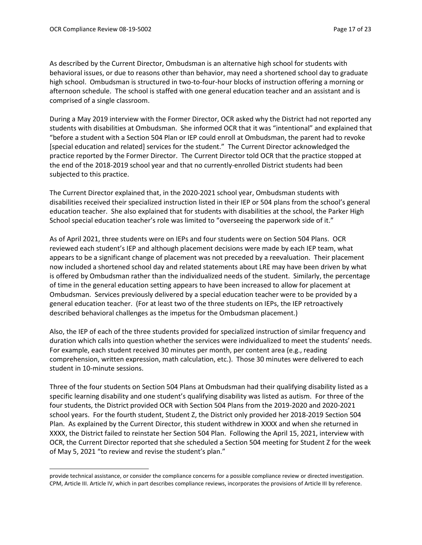As described by the Current Director, Ombudsman is an alternative high school for students with behavioral issues, or due to reasons other than behavior, may need a shortened school day to graduate high school. Ombudsman is structured in two-to-four-hour blocks of instruction offering a morning or afternoon schedule. The school is staffed with one general education teacher and an assistant and is comprised of a single classroom.

During a May 2019 interview with the Former Director, OCR asked why the District had not reported any students with disabilities at Ombudsman. She informed OCR that it was "intentional" and explained that "before a student with a Section 504 Plan or IEP could enroll at Ombudsman, the parent had to revoke [special education and related] services for the student." The Current Director acknowledged the practice reported by the Former Director. The Current Director told OCR that the practice stopped at the end of the 2018-2019 school year and that no currently-enrolled District students had been subjected to this practice.

The Current Director explained that, in the 2020-2021 school year, Ombudsman students with disabilities received their specialized instruction listed in their IEP or 504 plans from the school's general education teacher. She also explained that for students with disabilities at the school, the Parker High School special education teacher's role was limited to "overseeing the paperwork side of it."

As of April 2021, three students were on IEPs and four students were on Section 504 Plans. OCR reviewed each student's IEP and although placement decisions were made by each IEP team, what appears to be a significant change of placement was not preceded by a reevaluation. Their placement now included a shortened school day and related statements about LRE may have been driven by what is offered by Ombudsman rather than the individualized needs of the student. Similarly, the percentage of time in the general education setting appears to have been increased to allow for placement at Ombudsman. Services previously delivered by a special education teacher were to be provided by a general education teacher. (For at least two of the three students on IEPs, the IEP retroactively described behavioral challenges as the impetus for the Ombudsman placement.)

Also, the IEP of each of the three students provided for specialized instruction of similar frequency and duration which calls into question whether the services were individualized to meet the students' needs. For example, each student received 30 minutes per month, per content area (e.g., reading comprehension, written expression, math calculation, etc.). Those 30 minutes were delivered to each student in 10-minute sessions.

Three of the four students on Section 504 Plans at Ombudsman had their qualifying disability listed as a specific learning disability and one student's qualifying disability was listed as autism. For three of the four students, the District provided OCR with Section 504 Plans from the 2019-2020 and 2020-2021 school years. For the fourth student, Student Z, the District only provided her 2018-2019 Section 504 Plan. As explained by the Current Director, this student withdrew in XXXX and when she returned in XXXX, the District failed to reinstate her Section 504 Plan. Following the April 15, 2021, interview with OCR, the Current Director reported that she scheduled a Section 504 meeting for Student Z for the week of May 5, 2021 "to review and revise the student's plan."

provide technical assistance, or consider the compliance concerns for a possible compliance review or directed investigation. CPM, Article III. Article IV, which in part describes compliance reviews, incorporates the provisions of Article III by reference.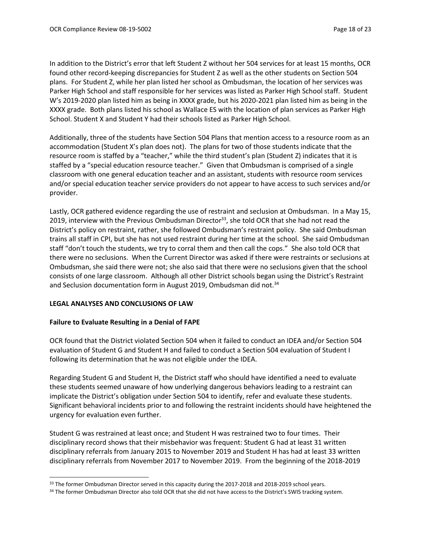In addition to the District's error that left Student Z without her 504 services for at least 15 months, OCR found other record-keeping discrepancies for Student Z as well as the other students on Section 504 plans. For Student Z, while her plan listed her school as Ombudsman, the location of her services was Parker High School and staff responsible for her services was listed as Parker High School staff. Student W's 2019-2020 plan listed him as being in XXXX grade, but his 2020-2021 plan listed him as being in the XXXX grade. Both plans listed his school as Wallace ES with the location of plan services as Parker High School. Student X and Student Y had their schools listed as Parker High School.

Additionally, three of the students have Section 504 Plans that mention access to a resource room as an accommodation (Student X's plan does not). The plans for two of those students indicate that the resource room is staffed by a "teacher," while the third student's plan (Student Z) indicates that it is staffed by a "special education resource teacher." Given that Ombudsman is comprised of a single classroom with one general education teacher and an assistant, students with resource room services and/or special education teacher service providers do not appear to have access to such services and/or provider.

Lastly, OCR gathered evidence regarding the use of restraint and seclusion at Ombudsman. In a May 15, 2019, interview with the Previous Ombudsman Director<sup>33</sup>, she told OCR that she had not read the District's policy on restraint, rather, she followed Ombudsman's restraint policy. She said Ombudsman trains all staff in CPI, but she has not used restraint during her time at the school. She said Ombudsman staff "don't touch the students, we try to corral them and then call the cops." She also told OCR that there were no seclusions. When the Current Director was asked if there were restraints or seclusions at Ombudsman, she said there were not; she also said that there were no seclusions given that the school consists of one large classroom. Although all other District schools began using the District's Restraint and Seclusion documentation form in August 2019, Ombudsman did not.<sup>34</sup>

### **LEGAL ANALYSES AND CONCLUSIONS OF LAW**

### **Failure to Evaluate Resulting in a Denial of FAPE**

OCR found that the District violated Section 504 when it failed to conduct an IDEA and/or Section 504 evaluation of Student G and Student H and failed to conduct a Section 504 evaluation of Student I following its determination that he was not eligible under the IDEA.

Regarding Student G and Student H, the District staff who should have identified a need to evaluate these students seemed unaware of how underlying dangerous behaviors leading to a restraint can implicate the District's obligation under Section 504 to identify, refer and evaluate these students. Significant behavioral incidents prior to and following the restraint incidents should have heightened the urgency for evaluation even further.

Student G was restrained at least once; and Student H was restrained two to four times. Their disciplinary record shows that their misbehavior was frequent: Student G had at least 31 written disciplinary referrals from January 2015 to November 2019 and Student H has had at least 33 written disciplinary referrals from November 2017 to November 2019. From the beginning of the 2018-2019

<sup>&</sup>lt;sup>33</sup> The former Ombudsman Director served in this capacity during the 2017-2018 and 2018-2019 school years.

<sup>34</sup> The former Ombudsman Director also told OCR that she did not have access to the District's SWIS tracking system.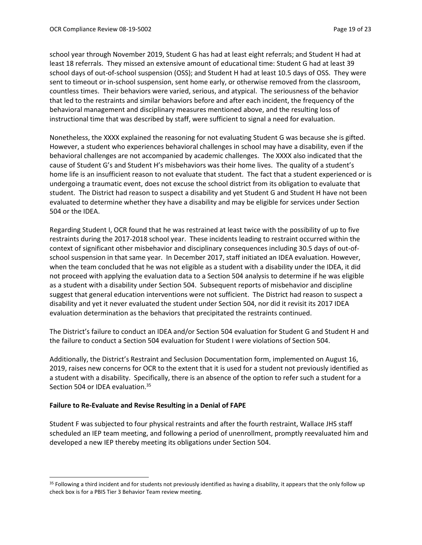school year through November 2019, Student G has had at least eight referrals; and Student H had at least 18 referrals. They missed an extensive amount of educational time: Student G had at least 39 school days of out-of-school suspension (OSS); and Student H had at least 10.5 days of OSS. They were sent to timeout or in-school suspension, sent home early, or otherwise removed from the classroom, countless times. Their behaviors were varied, serious, and atypical. The seriousness of the behavior that led to the restraints and similar behaviors before and after each incident, the frequency of the behavioral management and disciplinary measures mentioned above, and the resulting loss of instructional time that was described by staff, were sufficient to signal a need for evaluation.

Nonetheless, the XXXX explained the reasoning for not evaluating Student G was because she is gifted. However, a student who experiences behavioral challenges in school may have a disability, even if the behavioral challenges are not accompanied by academic challenges. The XXXX also indicated that the cause of Student G's and Student H's misbehaviors was their home lives. The quality of a student's home life is an insufficient reason to not evaluate that student. The fact that a student experienced or is undergoing a traumatic event, does not excuse the school district from its obligation to evaluate that student. The District had reason to suspect a disability and yet Student G and Student H have not been evaluated to determine whether they have a disability and may be eligible for services under Section 504 or the IDEA.

Regarding Student I, OCR found that he was restrained at least twice with the possibility of up to five restraints during the 2017-2018 school year. These incidents leading to restraint occurred within the context of significant other misbehavior and disciplinary consequences including 30.5 days of out-ofschool suspension in that same year. In December 2017, staff initiated an IDEA evaluation. However, when the team concluded that he was not eligible as a student with a disability under the IDEA, it did not proceed with applying the evaluation data to a Section 504 analysis to determine if he was eligible as a student with a disability under Section 504. Subsequent reports of misbehavior and discipline suggest that general education interventions were not sufficient. The District had reason to suspect a disability and yet it never evaluated the student under Section 504, nor did it revisit its 2017 IDEA evaluation determination as the behaviors that precipitated the restraints continued.

The District's failure to conduct an IDEA and/or Section 504 evaluation for Student G and Student H and the failure to conduct a Section 504 evaluation for Student I were violations of Section 504.

Additionally, the District's Restraint and Seclusion Documentation form, implemented on August 16, 2019, raises new concerns for OCR to the extent that it is used for a student not previously identified as a student with a disability. Specifically, there is an absence of the option to refer such a student for a Section 504 or IDEA evaluation.<sup>35</sup>

### **Failure to Re-Evaluate and Revise Resulting in a Denial of FAPE**

Student F was subjected to four physical restraints and after the fourth restraint, Wallace JHS staff scheduled an IEP team meeting, and following a period of unenrollment, promptly reevaluated him and developed a new IEP thereby meeting its obligations under Section 504.

<sup>&</sup>lt;sup>35</sup> Following a third incident and for students not previously identified as having a disability, it appears that the only follow up check box is for a PBIS Tier 3 Behavior Team review meeting.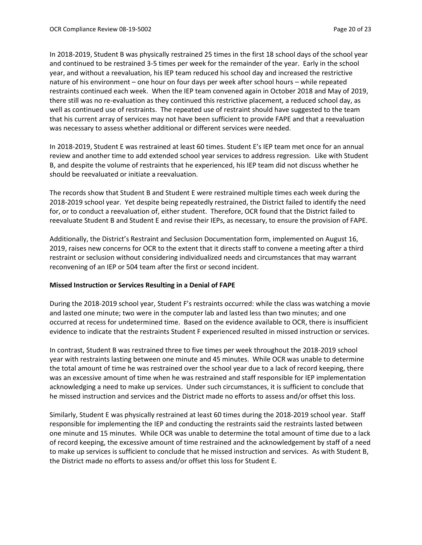In 2018-2019, Student B was physically restrained 25 times in the first 18 school days of the school year and continued to be restrained 3-5 times per week for the remainder of the year. Early in the school year, and without a reevaluation, his IEP team reduced his school day and increased the restrictive nature of his environment – one hour on four days per week after school hours – while repeated restraints continued each week. When the IEP team convened again in October 2018 and May of 2019, there still was no re-evaluation as they continued this restrictive placement, a reduced school day, as well as continued use of restraints. The repeated use of restraint should have suggested to the team that his current array of services may not have been sufficient to provide FAPE and that a reevaluation was necessary to assess whether additional or different services were needed.

In 2018-2019, Student E was restrained at least 60 times. Student E's IEP team met once for an annual review and another time to add extended school year services to address regression. Like with Student B, and despite the volume of restraints that he experienced, his IEP team did not discuss whether he should be reevaluated or initiate a reevaluation.

The records show that Student B and Student E were restrained multiple times each week during the 2018-2019 school year. Yet despite being repeatedly restrained, the District failed to identify the need for, or to conduct a reevaluation of, either student. Therefore, OCR found that the District failed to reevaluate Student B and Student E and revise their IEPs, as necessary, to ensure the provision of FAPE.

Additionally, the District's Restraint and Seclusion Documentation form, implemented on August 16, 2019, raises new concerns for OCR to the extent that it directs staff to convene a meeting after a third restraint or seclusion without considering individualized needs and circumstances that may warrant reconvening of an IEP or 504 team after the first or second incident.

### **Missed Instruction or Services Resulting in a Denial of FAPE**

During the 2018-2019 school year, Student F's restraints occurred: while the class was watching a movie and lasted one minute; two were in the computer lab and lasted less than two minutes; and one occurred at recess for undetermined time. Based on the evidence available to OCR, there is insufficient evidence to indicate that the restraints Student F experienced resulted in missed instruction or services.

In contrast, Student B was restrained three to five times per week throughout the 2018-2019 school year with restraints lasting between one minute and 45 minutes. While OCR was unable to determine the total amount of time he was restrained over the school year due to a lack of record keeping, there was an excessive amount of time when he was restrained and staff responsible for IEP implementation acknowledging a need to make up services. Under such circumstances, it is sufficient to conclude that he missed instruction and services and the District made no efforts to assess and/or offset this loss.

Similarly, Student E was physically restrained at least 60 times during the 2018-2019 school year. Staff responsible for implementing the IEP and conducting the restraints said the restraints lasted between one minute and 15 minutes. While OCR was unable to determine the total amount of time due to a lack of record keeping, the excessive amount of time restrained and the acknowledgement by staff of a need to make up services is sufficient to conclude that he missed instruction and services. As with Student B, the District made no efforts to assess and/or offset this loss for Student E.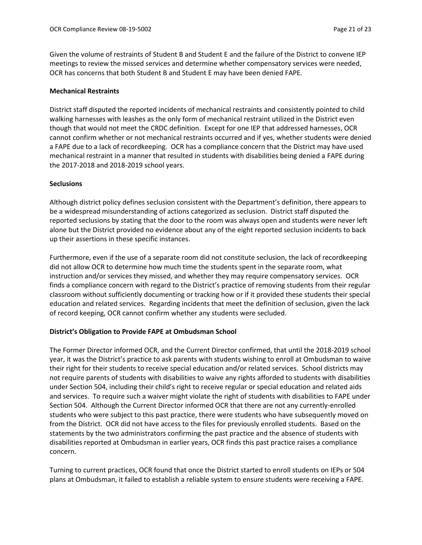Given the volume of restraints of Student B and Student E and the failure of the District to convene IEP meetings to review the missed services and determine whether compensatory services were needed, OCR has concerns that both Student B and Student E may have been denied FAPE.

### **Mechanical Restraints**

District staff disputed the reported incidents of mechanical restraints and consistently pointed to child walking harnesses with leashes as the only form of mechanical restraint utilized in the District even though that would not meet the CRDC definition. Except for one IEP that addressed harnesses, OCR cannot confirm whether or not mechanical restraints occurred and if yes, whether students were denied a FAPE due to a lack of recordkeeping. OCR has a compliance concern that the District may have used mechanical restraint in a manner that resulted in students with disabilities being denied a FAPE during the 2017-2018 and 2018-2019 school years.

### **Seclusions**

Although district policy defines seclusion consistent with the Department's definition, there appears to be a widespread misunderstanding of actions categorized as seclusion. District staff disputed the reported seclusions by stating that the door to the room was always open and students were never left alone but the District provided no evidence about any of the eight reported seclusion incidents to back up their assertions in these specific instances.

Furthermore, even if the use of a separate room did not constitute seclusion, the lack of recordkeeping did not allow OCR to determine how much time the students spent in the separate room, what instruction and/or services they missed, and whether they may require compensatory services. OCR finds a compliance concern with regard to the District's practice of removing students from their regular classroom without sufficiently documenting or tracking how or if it provided these students their special education and related services. Regarding incidents that meet the definition of seclusion, given the lack of record keeping, OCR cannot confirm whether any students were secluded.

## **District's Obligation to Provide FAPE at Ombudsman School**

The Former Director informed OCR, and the Current Director confirmed, that until the 2018-2019 school year, it was the District's practice to ask parents with students wishing to enroll at Ombudsman to waive their right for their students to receive special education and/or related services. School districts may not require parents of students with disabilities to waive any rights afforded to students with disabilities under Section 504, including their child's right to receive regular or special education and related aids and services. To require such a waiver might violate the right of students with disabilities to FAPE under Section 504. Although the Current Director informed OCR that there are not any currently-enrolled students who were subject to this past practice, there were students who have subsequently moved on from the District. OCR did not have access to the files for previously enrolled students. Based on the statements by the two administrators confirming the past practice and the absence of students with disabilities reported at Ombudsman in earlier years, OCR finds this past practice raises a compliance concern.

Turning to current practices, OCR found that once the District started to enroll students on IEPs or 504 plans at Ombudsman, it failed to establish a reliable system to ensure students were receiving a FAPE.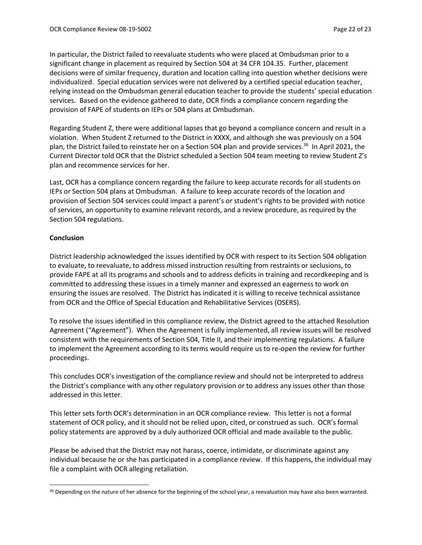In particular, the District failed to reevaluate students who were placed at Ombudsman prior to a significant change in placement as required by Section 504 at 34 CFR 104.35. Further, placement decisions were of similar frequency, duration and location calling into question whether decisions were individualized. Special education services were not delivered by a certified special education teacher, relying instead on the Ombudsman general education teacher to provide the students' special education services. Based on the evidence gathered to date, OCR finds a compliance concern regarding the provision of FAPE of students on IEPs or 504 plans at Ombudsman.

Regarding Student Z, there were additional lapses that go beyond a compliance concern and result in a violation. When Student Z returned to the District in XXXX, and although she was previously on a 504 plan, the District failed to reinstate her on a Section 504 plan and provide services. <sup>36</sup> In April 2021, the Current Director told OCR that the District scheduled a Section 504 team meeting to review Student Z's plan and recommence services for her.

Last, OCR has a compliance concern regarding the failure to keep accurate records for all students on IEPs or Section 504 plans at Ombudsman. A failure to keep accurate records of the location and provision of Section 504 services could impact a parent's or student's rights to be provided with notice of services, an opportunity to examine relevant records, and a review procedure, as required by the Section 504 regulations.

### **Conclusion**

District leadership acknowledged the issues identified by OCR with respect to its Section 504 obligation to evaluate, to reevaluate, to address missed instruction resulting from restraints or seclusions, to provide FAPE at all its programs and schools and to address deficits in training and recordkeeping and is committed to addressing these issues in a timely manner and expressed an eagerness to work on ensuring the issues are resolved. The District has indicated it is willing to receive technical assistance from OCR and the Office of Special Education and Rehabilitative Services (OSERS).

To resolve the issues identified in this compliance review, the District agreed to the attached Resolution Agreement ("Agreement"). When the Agreement is fully implemented, all review issues will be resolved consistent with the requirements of Section 504, Title II, and their implementing regulations. A failure to implement the Agreement according to its terms would require us to re-open the review for further proceedings.

This concludes OCR's investigation of the compliance review and should not be interpreted to address the District's compliance with any other regulatory provision or to address any issues other than those addressed in this letter.

This letter sets forth OCR's determination in an OCR compliance review. This letter is not a formal statement of OCR policy, and it should not be relied upon, cited, or construed as such. OCR's formal policy statements are approved by a duly authorized OCR official and made available to the public.

Please be advised that the District may not harass, coerce, intimidate, or discriminate against any individual because he or she has participated in a compliance review. If this happens, the individual may file a complaint with OCR alleging retaliation.

<sup>&</sup>lt;sup>36</sup> Depending on the nature of her absence for the beginning of the school year, a reevaluation may have also been warranted.